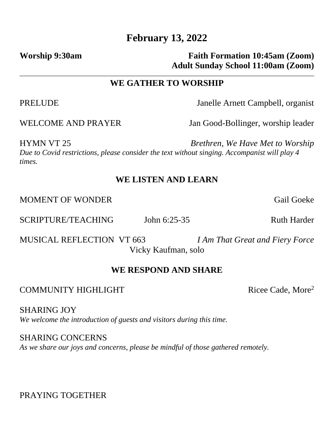# **February 13, 2022**

## **Worship 9:30am Faith Formation 10:45am (Zoom) Adult Sunday School 11:00am (Zoom)**

#### **WE GATHER TO WORSHIP**

PRELUDE Janelle Arnett Campbell, organist

WELCOME AND PRAYER Jan Good-Bollinger, worship leader

HYMN VT 25 *Brethren, We Have Met to Worship Due to Covid restrictions, please consider the text without singing. Accompanist will play 4 times.*

## **WE LISTEN AND LEARN**

MOMENT OF WONDER Gail Goeke

SCRIPTURE/TEACHING John 6:25-35 Ruth Harder

MUSICAL REFLECTION VT 663 *I Am That Great and Fiery Force* Vicky Kaufman, solo

### **WE RESPOND AND SHARE**

### COMMUNITY HIGHLIGHT Ricee Cade, More<sup>2</sup>

SHARING JOY *We welcome the introduction of guests and visitors during this time.* 

SHARING CONCERNS *As we share our joys and concerns, please be mindful of those gathered remotely.*

PRAYING TOGETHER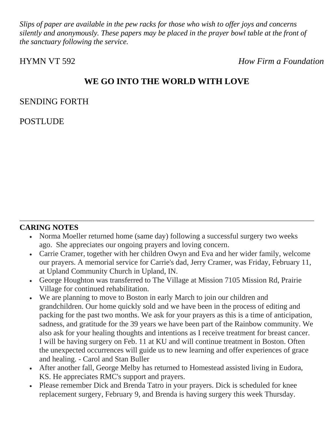*Slips of paper are available in the pew racks for those who wish to offer joys and concerns silently and anonymously. These papers may be placed in the prayer bowl table at the front of the sanctuary following the service.* 

HYMN VT 592 *How Firm a Foundation*

# **WE GO INTO THE WORLD WITH LOVE**

#### SENDING FORTH

POSTLUDE

### **CARING NOTES**

- Norma Moeller returned home (same day) following a successful surgery two weeks ago. She appreciates our ongoing prayers and loving concern.
- Carrie Cramer, together with her children Owyn and Eva and her wider family, welcome our prayers. A memorial service for Carrie's dad, Jerry Cramer, was Friday, February 11, at Upland Community Church in Upland, IN.
- George Houghton was transferred to The Village at Mission 7105 Mission Rd, Prairie Village for continued rehabilitation.
- We are planning to move to Boston in early March to join our children and grandchildren. Our home quickly sold and we have been in the process of editing and packing for the past two months. We ask for your prayers as this is a time of anticipation, sadness, and gratitude for the 39 years we have been part of the Rainbow community. We also ask for your healing thoughts and intentions as I receive treatment for breast cancer. I will be having surgery on Feb. 11 at KU and will continue treatment in Boston. Often the unexpected occurrences will guide us to new learning and offer experiences of grace and healing. - Carol and Stan Buller
- After another fall, George Melby has returned to Homestead assisted living in Eudora, KS. He appreciates RMC's support and prayers.
- Please remember Dick and Brenda Tatro in your prayers. Dick is scheduled for knee replacement surgery, February 9, and Brenda is having surgery this week Thursday.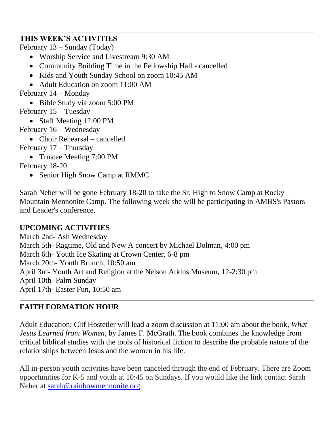## **THIS WEEK'S ACTIVITIES**

February 13 – Sunday (Today)

- Worship Service and Livestream 9:30 AM
- Community Building Time in the Fellowship Hall cancelled
- Kids and Youth Sunday School on zoom 10:45 AM
- Adult Education on zoom 11:00 AM

February 14 – Monday

- Bible Study via zoom 5:00 PM
- February 15 Tuesday
	- Staff Meeting 12:00 PM
- February 16 Wednesday
	- Choir Rehearsal cancelled

February 17 – Thursday

• Trustee Meeting 7:00 PM

February 18-20

• Senior High Snow Camp at RMMC

Sarah Neher will be gone February 18-20 to take the Sr. High to Snow Camp at Rocky Mountain Mennonite Camp. The following week she will be participating in AMBS's Pastors and Leader's conference.

# **UPCOMING ACTIVITIES**

March 2nd- Ash Wednesday March 5th- Ragtime, Old and New A concert by Michael Dolman, 4:00 pm March 6th- Youth Ice Skating at Crown Center, 6-8 pm March 20th- Youth Brunch, 10:50 am April 3rd- Youth Art and Religion at the Nelson Atkins Museum, 12-2:30 pm April 10th- Palm Sunday April 17th- Easter Fun, 10:50 am

# **FAITH FORMATION HOUR**

Adult Education: Clif Hostetler will lead a zoom discussion at 11:00 am about the book, *What Jesus Learned from Women*, by James F. McGrath. The book combines the knowledge from critical biblical studies with the tools of historical fiction to describe the probable nature of the relationships between Jesus and the women in his life.

All in-person youth activities have been canceled through the end of February. There are Zoom opportunities for K-5 and youth at 10:45 on Sundays. If you would like the link contact Sarah Neher at [sarah@rainbowmennonite.org.](mailto:sarah@rainbowmennonite.org)